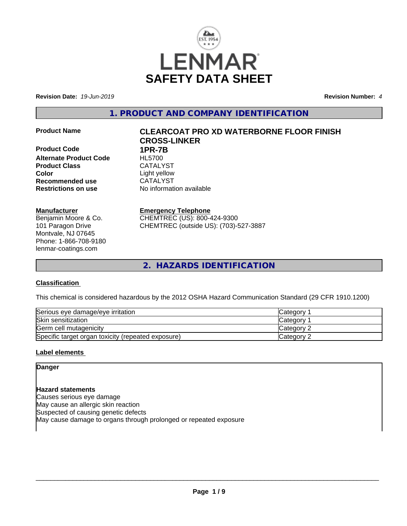

**Revision Date:** *19-Jun-2019* **Revision Number:** *4*

**1. PRODUCT AND COMPANY IDENTIFICATION**

**Product Code 1PR-7B Alternate Product Code** HL5700 Product Class CATALYST **Color** Light yellow **Recommended use** CATALYST **Restrictions on use** No information available

# **Manufacturer**

Benjamin Moore & Co. 101 Paragon Drive Montvale, NJ 07645 Phone: 1-866-708-9180 lenmar-coatings.com

# **Product Name CLEARCOAT PRO XD WATERBORNE FLOOR FINISH CROSS-LINKER**

**Emergency Telephone** CHEMTREC (US): 800-424-9300 CHEMTREC (outside US): (703)-527-3887

**2. HAZARDS IDENTIFICATION**

# **Classification**

This chemical is considered hazardous by the 2012 OSHA Hazard Communication Standard (29 CFR 1910.1200)

| Serious eye damage/eye irritation                  | Category   |
|----------------------------------------------------|------------|
| Skin sensitization                                 | Category   |
| Germ cell mutagenicity                             | Category 2 |
| Specific target organ toxicity (repeated exposure) | Category 2 |

# **Label elements**

**Danger**

**Hazard statements** Causes serious eye damage May cause an allergic skin reaction Suspected of causing genetic defects May cause damage to organs through prolonged or repeated exposure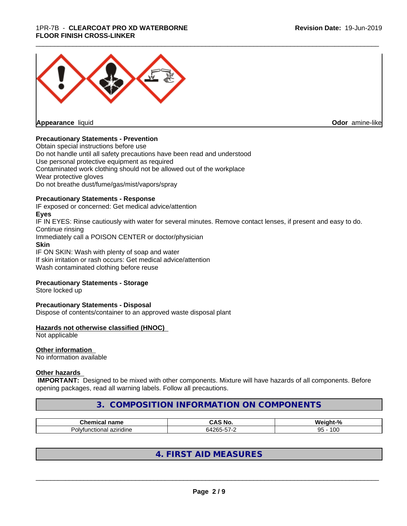# 1PR-7B - **CLEARCOAT PRO XD WATERBORNE FLOOR FINISH CROSS-LINKER**



**Appearance** liquid

**Odor** amine-like

# **Precautionary Statements - Prevention**

Obtain special instructions before use Do not handle until all safety precautions have been read and understood Use personal protective equipment as required Contaminated work clothing should not be allowed out of the workplace Wear protective gloves Do not breathe dust/fume/gas/mist/vapors/spray

# **Precautionary Statements - Response**

IF exposed or concerned: Get medical advice/attention **Eyes** IF IN EYES: Rinse cautiously with water for several minutes. Remove contact lenses, if present and easy to do. Continue rinsing Immediately call a POISON CENTER or doctor/physician **Skin** IF ON SKIN: Wash with plenty of soap and water If skin irritation or rash occurs: Get medical advice/attention

Wash contaminated clothing before reuse

# **Precautionary Statements - Storage**

Store locked up

# **Precautionary Statements - Disposal**

Dispose of contents/container to an approved waste disposal plant

# **Hazards not otherwise classified (HNOC)**

Not applicable

# **Other information**

No information available

# **Other hazards**

 **IMPORTANT:** Designed to be mixed with other components. Mixture will have hazards of all components. Before opening packages, read all warning labels. Follow all precautions.

# **3. COMPOSITION INFORMATION ON COMPONENTS**

| ™h≙m.<br>name | - - -<br>$\sim$<br>M.<br>IVU | .<br>-<br>.<br>.<br>$\sqrt{2}$ |
|---------------|------------------------------|--------------------------------|
| aziridine     | .                            | l OC                           |
| indomial      | $A \cap C \subset$           | $\sim$ $\sim$                  |
| Polvfu        | . .                          | $\cdot$                        |
| …uunar ≍      |                              | ອບ                             |

# **4. FIRST AID MEASURES**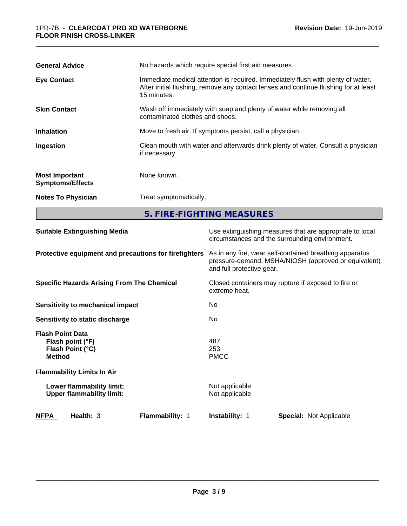| <b>General Advice</b>                            | No hazards which require special first aid measures.                                                                                                                                    |  |  |
|--------------------------------------------------|-----------------------------------------------------------------------------------------------------------------------------------------------------------------------------------------|--|--|
| <b>Eye Contact</b>                               | Immediate medical attention is required. Immediately flush with plenty of water.<br>After initial flushing, remove any contact lenses and continue flushing for at least<br>15 minutes. |  |  |
| <b>Skin Contact</b>                              | Wash off immediately with soap and plenty of water while removing all<br>contaminated clothes and shoes.                                                                                |  |  |
| <b>Inhalation</b>                                | Move to fresh air. If symptoms persist, call a physician.                                                                                                                               |  |  |
| Ingestion                                        | Clean mouth with water and afterwards drink plenty of water. Consult a physician<br>if necessary.                                                                                       |  |  |
| <b>Most Important</b><br><b>Symptoms/Effects</b> | None known.                                                                                                                                                                             |  |  |
| <b>Notes To Physician</b>                        | Treat symptomatically.                                                                                                                                                                  |  |  |
|                                                  | 5. FIRE-FIGHTING MEASURES                                                                                                                                                               |  |  |

\_\_\_\_\_\_\_\_\_\_\_\_\_\_\_\_\_\_\_\_\_\_\_\_\_\_\_\_\_\_\_\_\_\_\_\_\_\_\_\_\_\_\_\_\_\_\_\_\_\_\_\_\_\_\_\_\_\_\_\_\_\_\_\_\_\_\_\_\_\_\_\_\_\_\_\_\_\_\_\_\_\_\_\_\_\_\_\_\_\_\_\_\_

| Use extinguishing measures that are appropriate to local<br>circumstances and the surrounding environment.                                   |  |
|----------------------------------------------------------------------------------------------------------------------------------------------|--|
| As in any fire, wear self-contained breathing apparatus<br>pressure-demand, MSHA/NIOSH (approved or equivalent)<br>and full protective gear. |  |
| Closed containers may rupture if exposed to fire or<br>extreme heat.                                                                         |  |
| No.                                                                                                                                          |  |
| No                                                                                                                                           |  |
| 487<br>253<br><b>PMCC</b>                                                                                                                    |  |
|                                                                                                                                              |  |
| Not applicable<br>Not applicable                                                                                                             |  |
| <b>Instability: 1</b><br><b>Special: Not Applicable</b>                                                                                      |  |
|                                                                                                                                              |  |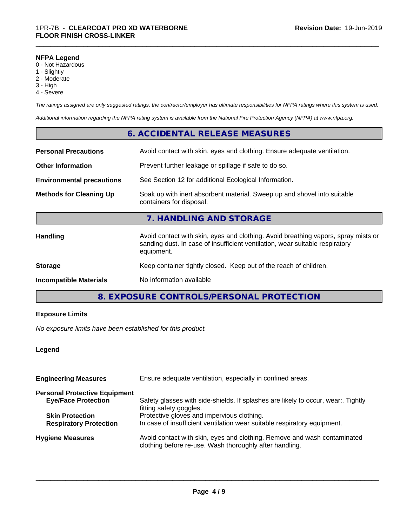#### **NFPA Legend**

- 0 Not Hazardous
- 1 Slightly
- 2 Moderate
- 3 High
- 4 Severe

*The ratings assigned are only suggested ratings, the contractor/employer has ultimate responsibilities for NFPA ratings where this system is used.*

\_\_\_\_\_\_\_\_\_\_\_\_\_\_\_\_\_\_\_\_\_\_\_\_\_\_\_\_\_\_\_\_\_\_\_\_\_\_\_\_\_\_\_\_\_\_\_\_\_\_\_\_\_\_\_\_\_\_\_\_\_\_\_\_\_\_\_\_\_\_\_\_\_\_\_\_\_\_\_\_\_\_\_\_\_\_\_\_\_\_\_\_\_

*Additional information regarding the NFPA rating system is available from the National Fire Protection Agency (NFPA) at www.nfpa.org.*

# **6. ACCIDENTAL RELEASE MEASURES**

| <b>Personal Precautions</b>      | Avoid contact with skin, eyes and clothing. Ensure adequate ventilation.                                                                                                         |  |
|----------------------------------|----------------------------------------------------------------------------------------------------------------------------------------------------------------------------------|--|
| <b>Other Information</b>         | Prevent further leakage or spillage if safe to do so.                                                                                                                            |  |
| <b>Environmental precautions</b> | See Section 12 for additional Ecological Information.                                                                                                                            |  |
| <b>Methods for Cleaning Up</b>   | Soak up with inert absorbent material. Sweep up and shovel into suitable<br>containers for disposal.                                                                             |  |
|                                  | 7. HANDLING AND STORAGE                                                                                                                                                          |  |
| <b>Handling</b>                  | Avoid contact with skin, eyes and clothing. Avoid breathing vapors, spray mists or<br>sanding dust. In case of insufficient ventilation, wear suitable respiratory<br>equipment. |  |
| <b>Storage</b>                   | Keep container tightly closed. Keep out of the reach of children.                                                                                                                |  |
| <b>Incompatible Materials</b>    | No information available                                                                                                                                                         |  |

# **8. EXPOSURE CONTROLS/PERSONAL PROTECTION**

# **Exposure Limits**

*No exposure limits have been established for this product.*

# **Legend**

| <b>Engineering Measures</b>          | Ensure adequate ventilation, especially in confined areas.                                                                          |  |
|--------------------------------------|-------------------------------------------------------------------------------------------------------------------------------------|--|
| <b>Personal Protective Equipment</b> |                                                                                                                                     |  |
| <b>Eye/Face Protection</b>           | Safety glasses with side-shields. If splashes are likely to occur, wear:. Tightly<br>fitting safety goggles.                        |  |
| <b>Skin Protection</b>               | Protective gloves and impervious clothing.                                                                                          |  |
| <b>Respiratory Protection</b>        | In case of insufficient ventilation wear suitable respiratory equipment.                                                            |  |
| <b>Hygiene Measures</b>              | Avoid contact with skin, eyes and clothing. Remove and wash contaminated<br>clothing before re-use. Wash thoroughly after handling. |  |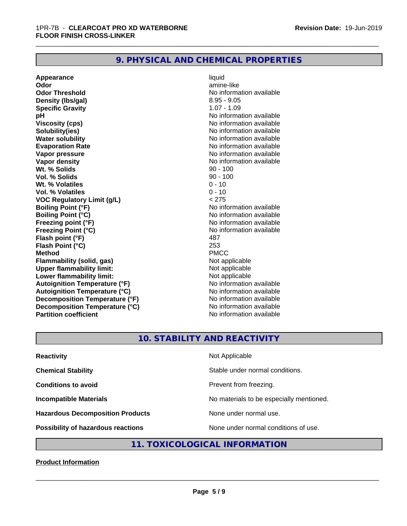# **9. PHYSICAL AND CHEMICAL PROPERTIES**

**Appearance** liquid **Odor Community Community Community Community Community Community Community Community Community Community Community Community Community Community Community Community Community Community Community Community Community Comm Odor Threshold** No information available **Density (Ibs/gal)** 8.95 - 9.05 **Specific Gravity** 1.07 - 1.09 **pH** No information available **Viscosity (cps)** No information available **Solubility(ies)** No information available **Water solubility**<br> **Evaporation Rate**<br> **Evaporation Rate**<br> **Evaporation Rate Vapor pressure** No information available **Vapor density**<br> **We Solids**<br>
We Solids
20 - 100 **Wt. % Solids** 90 - 100<br> **Vol. % Solids** 90 - 100 **Vol. % Solids Wt.** % Volatiles 0 - 10 **Vol. % Volatiles** 0 - 10 **VOC Regulatory Limit (g/L)** < 275 **Boiling Point (°F)** No information available **Boiling Point (°C)** No information available **Freezing point (°F)**<br> **Freezing Point (°C)**<br> **Freezing Point (°C)**<br> **No** information available **Flash point (°F) Flash Point (°C)** 253 **Method** PMCC **Flammability (solid, gas)** Not applicable **Upper flammability limit:** Not applicable **Lower flammability limit:**<br> **Autoignition Temperature (°F)** Not applicable have not available **Autoignition Temperature (°F) Autoignition Temperature (°C)** No information available **Decomposition Temperature (°F)** No information available **Decomposition Temperature (°C)** No information available **Partition coefficient Contract Contract Contract Contract Contract Contract Contract Contract Contract Contract Contract Contract Contract Contract Contract Contract Contract Contract Contract Contract Contract Contract** 

**Evaporation Rate** No information available **Franchiscon Breezing**<br>**487** 

\_\_\_\_\_\_\_\_\_\_\_\_\_\_\_\_\_\_\_\_\_\_\_\_\_\_\_\_\_\_\_\_\_\_\_\_\_\_\_\_\_\_\_\_\_\_\_\_\_\_\_\_\_\_\_\_\_\_\_\_\_\_\_\_\_\_\_\_\_\_\_\_\_\_\_\_\_\_\_\_\_\_\_\_\_\_\_\_\_\_\_\_\_

# **10. STABILITY AND REACTIVITY**

| <b>Reactivity</b>                       | Not Applicable                           |
|-----------------------------------------|------------------------------------------|
| <b>Chemical Stability</b>               | Stable under normal conditions.          |
| <b>Conditions to avoid</b>              | Prevent from freezing.                   |
| <b>Incompatible Materials</b>           | No materials to be especially mentioned. |
| <b>Hazardous Decomposition Products</b> | None under normal use.                   |
| Possibility of hazardous reactions      | None under normal conditions of use.     |

# **11. TOXICOLOGICAL INFORMATION**

# **Product Information**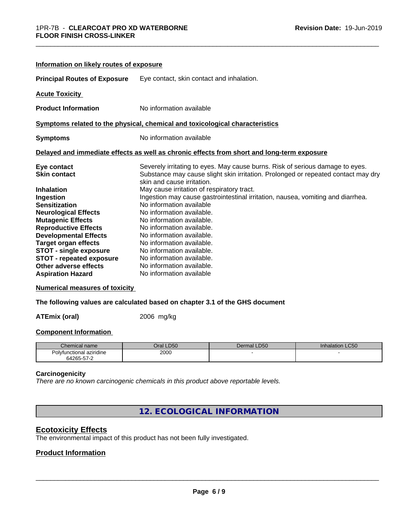| Information on likely routes of exposure |                                                                                                                 |
|------------------------------------------|-----------------------------------------------------------------------------------------------------------------|
| <b>Principal Routes of Exposure</b>      | Eye contact, skin contact and inhalation.                                                                       |
| <b>Acute Toxicity</b>                    |                                                                                                                 |
| <b>Product Information</b>               | No information available                                                                                        |
|                                          | Symptoms related to the physical, chemical and toxicological characteristics                                    |
| <b>Symptoms</b>                          | No information available                                                                                        |
|                                          | Delayed and immediate effects as well as chronic effects from short and long-term exposure                      |
| Eye contact                              | Severely irritating to eyes. May cause burns. Risk of serious damage to eyes.                                   |
| <b>Skin contact</b>                      | Substance may cause slight skin irritation. Prolonged or repeated contact may dry<br>skin and cause irritation. |
| <b>Inhalation</b>                        | May cause irritation of respiratory tract.                                                                      |
| Ingestion                                | Ingestion may cause gastrointestinal irritation, nausea, vomiting and diarrhea.                                 |
| <b>Sensitization</b>                     | No information available                                                                                        |
| <b>Neurological Effects</b>              | No information available.                                                                                       |
| <b>Mutagenic Effects</b>                 | No information available.                                                                                       |
| <b>Reproductive Effects</b>              | No information available.                                                                                       |
| <b>Developmental Effects</b>             | No information available.                                                                                       |
| <b>Target organ effects</b>              | No information available.                                                                                       |
| <b>STOT - single exposure</b>            | No information available.                                                                                       |
| <b>STOT - repeated exposure</b>          | No information available.                                                                                       |
| Other adverse effects                    | No information available.                                                                                       |
| <b>Aspiration Hazard</b>                 | No information available                                                                                        |

\_\_\_\_\_\_\_\_\_\_\_\_\_\_\_\_\_\_\_\_\_\_\_\_\_\_\_\_\_\_\_\_\_\_\_\_\_\_\_\_\_\_\_\_\_\_\_\_\_\_\_\_\_\_\_\_\_\_\_\_\_\_\_\_\_\_\_\_\_\_\_\_\_\_\_\_\_\_\_\_\_\_\_\_\_\_\_\_\_\_\_\_\_

#### **Numerical measures of toxicity**

**The following values are calculated based on chapter 3.1 of the GHS document**

**ATEmix (oral)** 2006 mg/kg

#### **Component Information**

| Chemical name            | Oral LD50 | <b>LD50</b><br>Dermal | <b>Inhalation LC50</b> |
|--------------------------|-----------|-----------------------|------------------------|
| Polvfunctional aziridine | 2000      |                       |                        |
| 64265-57-2               |           |                       |                        |

#### **Carcinogenicity**

*There are no known carcinogenic chemicals in this product above reportable levels.*

**12. ECOLOGICAL INFORMATION**

# **Ecotoxicity Effects**

The environmental impact of this product has not been fully investigated.

# **Product Information**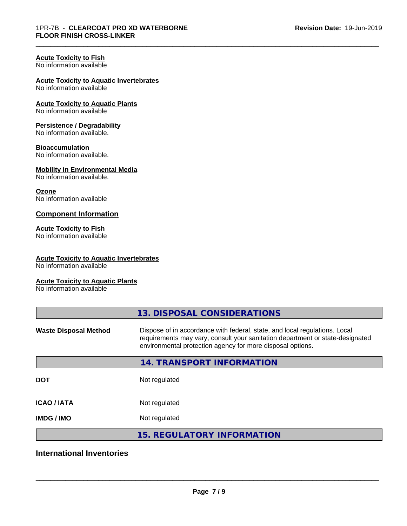\_\_\_\_\_\_\_\_\_\_\_\_\_\_\_\_\_\_\_\_\_\_\_\_\_\_\_\_\_\_\_\_\_\_\_\_\_\_\_\_\_\_\_\_\_\_\_\_\_\_\_\_\_\_\_\_\_\_\_\_\_\_\_\_\_\_\_\_\_\_\_\_\_\_\_\_\_\_\_\_\_\_\_\_\_\_\_\_\_\_\_\_\_

# **Acute Toxicity to Fish**

No information available

# **Acute Toxicity to Aquatic Invertebrates**

No information available

#### **Acute Toxicity to Aquatic Plants** No information available

# **Persistence / Degradability**

No information available.

# **Bioaccumulation**

No information available.

# **Mobility in Environmental Media**

No information available.

#### **Ozone**

No information available

# **Component Information**

# **Acute Toxicity to Fish**

No information available

#### **Acute Toxicity to Aquatic Invertebrates**

No information available

# **Acute Toxicity to Aquatic Plants**

No information available

|                              | 13. DISPOSAL CONSIDERATIONS                                                                                                                                                                                               |
|------------------------------|---------------------------------------------------------------------------------------------------------------------------------------------------------------------------------------------------------------------------|
| <b>Waste Disposal Method</b> | Dispose of in accordance with federal, state, and local regulations. Local<br>requirements may vary, consult your sanitation department or state-designated<br>environmental protection agency for more disposal options. |
|                              | 14. TRANSPORT INFORMATION                                                                                                                                                                                                 |
| <b>DOT</b>                   | Not regulated                                                                                                                                                                                                             |
| <b>ICAO/IATA</b>             | Not regulated                                                                                                                                                                                                             |
| <b>IMDG/IMO</b>              | Not regulated                                                                                                                                                                                                             |
|                              | <b>15. REGULATORY INFORMATION</b>                                                                                                                                                                                         |

# **International Inventories**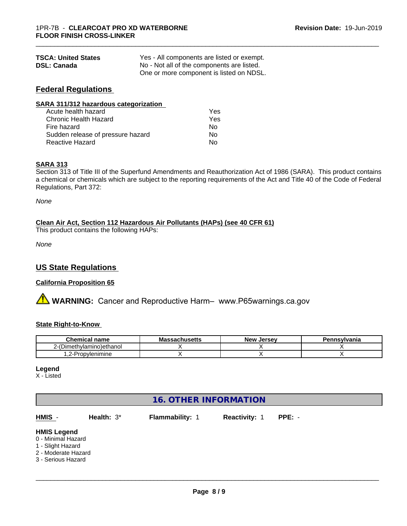| <b>TSCA: United States</b> | Yes - All components are listed or exempt. |
|----------------------------|--------------------------------------------|
| <b>DSL: Canada</b>         | No - Not all of the components are listed. |
|                            | One or more component is listed on NDSL.   |

# **Federal Regulations**

| SARA 311/312 hazardous categorization |     |  |
|---------------------------------------|-----|--|
| Acute health hazard                   | Yes |  |
| Chronic Health Hazard                 | Yes |  |
| Fire hazard                           | Nο  |  |
| Sudden release of pressure hazard     | No  |  |
| <b>Reactive Hazard</b>                | No  |  |

# **SARA 313**

Section 313 of Title III of the Superfund Amendments and Reauthorization Act of 1986 (SARA). This product contains a chemical or chemicals which are subject to the reporting requirements of the Act and Title 40 of the Code of Federal Regulations, Part 372:

\_\_\_\_\_\_\_\_\_\_\_\_\_\_\_\_\_\_\_\_\_\_\_\_\_\_\_\_\_\_\_\_\_\_\_\_\_\_\_\_\_\_\_\_\_\_\_\_\_\_\_\_\_\_\_\_\_\_\_\_\_\_\_\_\_\_\_\_\_\_\_\_\_\_\_\_\_\_\_\_\_\_\_\_\_\_\_\_\_\_\_\_\_

*None*

# **Clean Air Act,Section 112 Hazardous Air Pollutants (HAPs) (see 40 CFR 61)**

This product contains the following HAPs:

*None*

# **US State Regulations**

# **California Proposition 65**

**AVIMARNING:** Cancer and Reproductive Harm– www.P65warnings.ca.gov

# **State Right-to-Know**

| hemical name<br>u                     | seachuantta i<br>MЗ<br>1999711496119 | . Jersev<br><b>New</b> | Pennsylvania |
|---------------------------------------|--------------------------------------|------------------------|--------------|
| methvlamino)ethanol<br>Dım،           |                                      |                        |              |
| vlenimine<br>$.2$ -Pr $^{-}$<br>ropy' |                                      |                        |              |

# **Legend**

X - Listed

| <b>16. OTHER INFORMATION</b>                                                                               |               |                 |               |          |  |  |
|------------------------------------------------------------------------------------------------------------|---------------|-----------------|---------------|----------|--|--|
| HMIS -                                                                                                     | Health: $3^*$ | Flammability: 1 | Reactivity: 1 | $PPE: -$ |  |  |
| <b>HMIS Legend</b><br>0 - Minimal Hazard<br>1 - Slight Hazard<br>2 - Moderate Hazard<br>3 - Serious Hazard |               |                 |               |          |  |  |